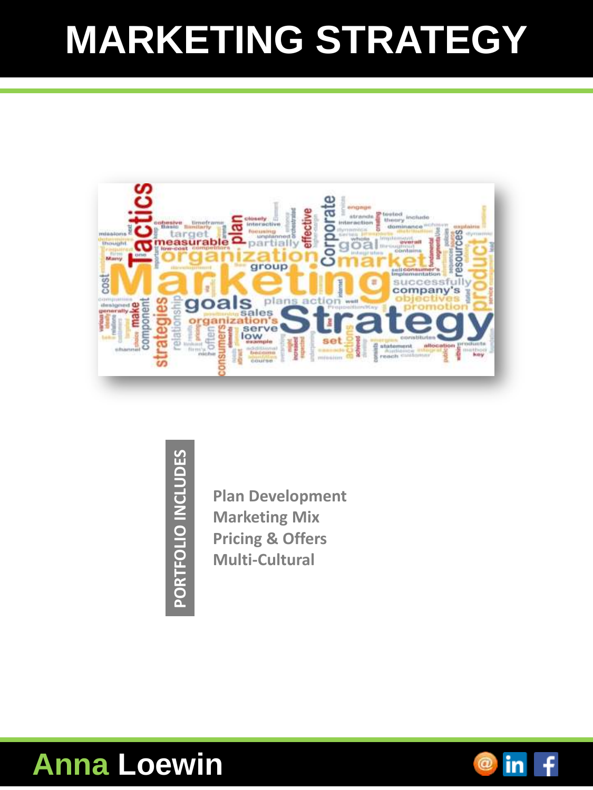## **MARKETING STRATEGY**



PORTFOLIO INCLUDES **PORTFOLIO INCLUDES**

**Plan Development Marketing Mix Pricing & Offers Multi-Cultural**

#### **Anna Loewin**

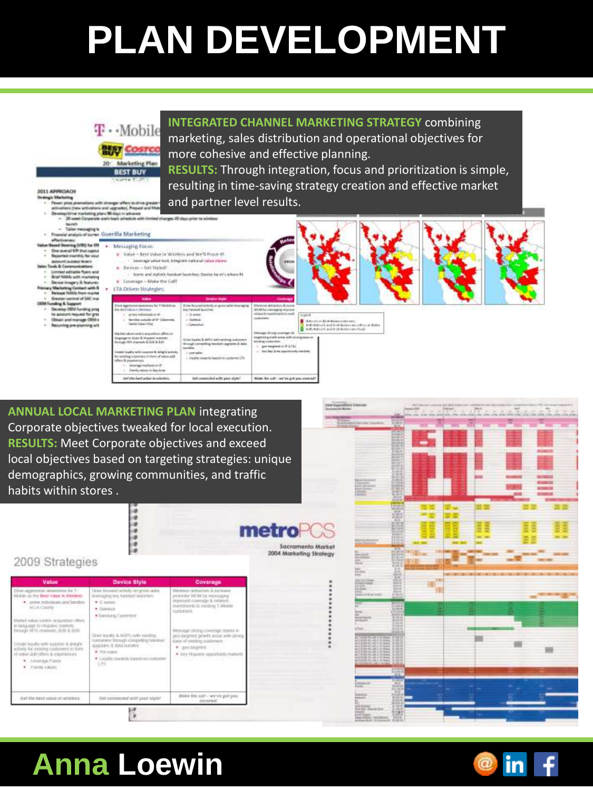# **PLAN DEVELOPMENT**



**ANNUAL LOCAL MARKETING PLAN** integrating Corporate objectives tweaked for local execution. **RESULTS:** Meet Corporate objectives and exceed local objectives based on targeting strategies: unique demographics, growing communities, and traffic habits within stores .





#### **Anna Loewin**

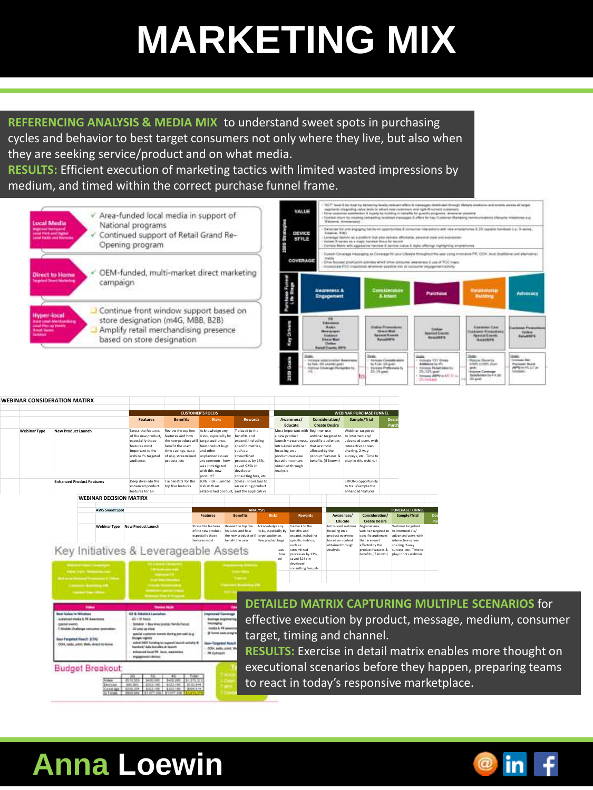## **MARKETING MIX**

**REFERENCING ANALYSIS & MEDIA MIX** to understand sweet spots in purchasing cycles and behavior to best target consumers not only where they live, but also when they are seeking service/product and on what media.

**RESULTS:** Efficient execution of marketing tactics with limited wasted impressions by medium, and timed within the correct purchase funnel frame.



### **Anna Loewin**

**Enterprise**

**Enterprise Enterprise AVENUE AVENUE AVENUE** 

**Executive (C-Level, President, President, President, President, VP)** 

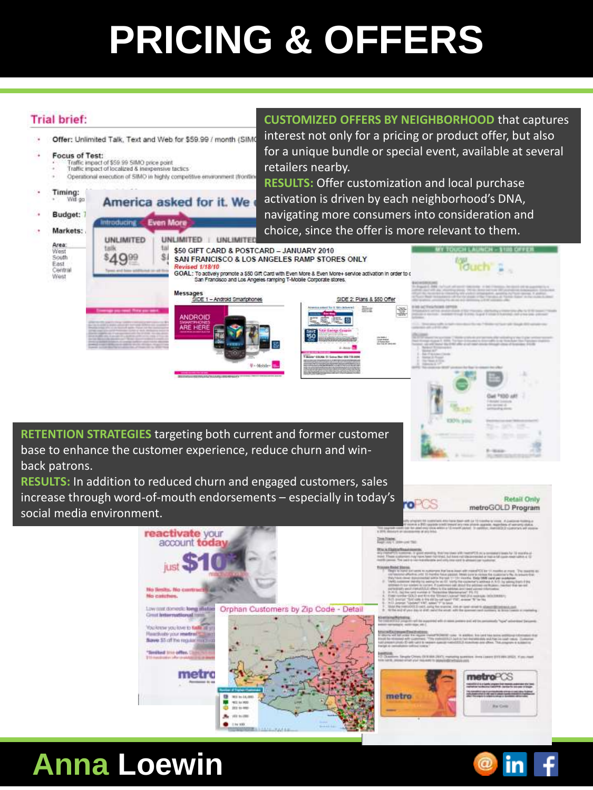## **PRICING & OFFERS**

#### **Trial brief:**

**CUSTOMIZED OFFERS BY NEIGHBORHOOD** that captures interest not only for a pricing or product offer, but also

Offer: Unlimited Talk, Text and Web for \$59.99 / month (SIM) Focus of Test: Traffic impact of \$59.99 SIMO price point<br>Traffic impact of localized & inexpensive factics Operational execution of SIMO in highly competitive environment (front) Timing:<br>
Wit go America asked for it. We Budget: 7 traducing. uan Moi Markets: **UNLIMITED** UNLIMITED | UNLIMI Area: ta \$50 GIFT CARD & POSTCARD - JANUARY 2010 West<br>South S. \$4999 SAN FRANCISCO & LOS ANGELES RAMP STORES ONLY East sed 1/18/10 Central GOAL: To actively promote a \$50 Gift Card with Even More & Even More+ service activation in order to d West Messages<br>SIDE 1 - Android Smartphones ANDROID ARE HERE

for a unique bundle or special event, available at several retailers nearby. **RESULTS:** Offer customization and local purchase activation is driven by each neighborhood's DNA,

> **Retail Only** metroGOLD Program

> > in

navigating more consumers into consideration and choice, since the offer is more relevant to them. a verere

> SIDE 2: Plans & \$50 Offer and the second second and only on the second second and con-

**Red 10** 

The Ballis<br>2 September<br>22 September ۸ **Washington RETENTION STRATEGIES** targeting both current and former customer base to enhance the customer experience, reduce churn and winback patrons.

**RESULTS:** In addition to reduced churn and engaged customers, sales increase through word-of-mouth endorsements – especially in today's social media environment.



#### **Anna Loewin**